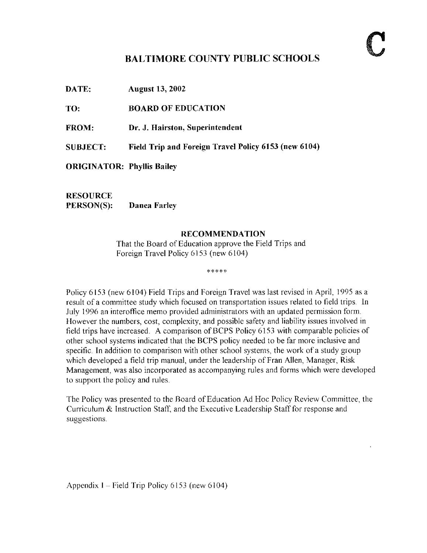## BALTIMORE COUNTY PUBLIC SCHOOLS

DATE: August 13, <sup>2002</sup>

TO: BOARD OF EDUCATION

FROM: Dr. J. Hairston, Superintendent

SUBJECT: Field Trip and Foreign Travel Policy 6153 (new 6104)

ORIGINATOR: Phyllis Bailey

RESOURCE<br>PERSON(S): Danea Farley

## RECOMMENDATION

That the Board of Education approve the Field Trips and Foreign Travel Policy 6153 (new 6104)

\*\*\*\*\*

Policy 6153 (new 6104) Field Trips and Foreign Travel was last revised in April, 1995 as a result of a committee study which focused on transportation issues related to field trips. In July 1996 an interoffice memo provided administrators with an updated permission form. However the numbers, cost, complexity, and possible safety and liability issues involved in field trips have increased. A comparison of BCPS Policy 6153 with comparable policies of other school systems indicated that the BCPS policy needed to be far more inclusive and specific. In addition to comparison with other school systems, the work of a study group which developed a field trip manual, under the leadership of Fran Allen, Manager, Risk Management, was also incorporated as accompanying rules and forms which were developed to support the policy and rules

The Policy was presented to the Board ofEducation Ad Hoc Policy Review Committee, the Curriculum & Instruction Staff, and the Executive Leadership Staff for response and suggestions.

Appendix I – Field Trip Policy 6153 (new 6104)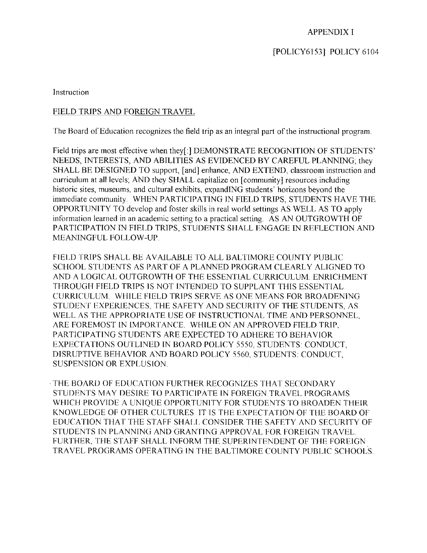APPENDIX <sup>I</sup>

[POLICY6153] POLICY 6104

Instruction

## FIELD TRIPS AND FOREIGN TRAVEL

The Board of Education recognizes the field trip as an integral part of the instructional program.

Field trips are most effective when they[:] DEMONSTRATE RECOGNITION OF STUDENTS' NEEDS, INTERESTS, AND ABILITIES AS EVIDENCED BY CAREFUL PLANNING; they SHALL BE DESIGNED TO support, [and] enhance, AND EXTEND, classroom instruction and curriculum at all levels; AND they SHALL capitalize on [community] resources including historic sites, museums, and cultural exhibits, expandING students' horizons beyond the immediate community. WHEN PARTICIPATING IN FIELD TRIPS, STUDENTS HAVE THE OPPORTUNITY TO develop and foster skills in real world settings AS WELL AS TO apply information learned in an academic setting to <sup>a</sup> practical setting. AS AN OUTGROWTH OF PARTICIPATION IN FIELD TRIPS, STUDENTS SHALL ENGAGE IN REFLECTION AND MEANINGFUL FOLLOW-UP.

FIELD TRIPS SHALL BE AVAILABLE TO ALL BALTIMORE COUNTY PUBLIC SCHOOL STUDENTS AS PART OF A PLANNED PROGRAM CLEARLY ALIGNED TO AND A LOGICAL OUTGROWTH OF THE ESSENTIAL CURRICULUM. ENRICHMENT THROUGH FIELD TRIPS IS NOT INTENDED TO SUPPLANT THIS ESSENTIAL CURRICULUM. WHILE FIELD TRIPS SERVE AS ONE MEANS FOR BROADENING STUDENT EXPERIENCES THE SAFETY AND SECURITY OF THE STUDENTS, AS WELL AS THE APPROPRIATE USE OF INSTRUCTIONAL TIME AND PERSONNEL, ARE FOREMOST IN IMPORTANCE. WHILE ON AN APPROVED FIELD TRIP, PARTICIPATING STUDENTS ARE EXPECTED TO ADHERE TO BEHAVIOR EXPECTATIONS OUTLINED IN BOARD POLICY 5550, STUDENTS: CONDUCT, DISRUPTIVE BEHAVIOR AND BOARD POLICY 5560, STUDENTS: CONDUCT, SUSPENSION OR EXPLOSION.

.THE BOARD OF EDUCATION FURTHER RECOGNIZES THAT SECONDARY STUDENTS MAY DESIRE TO PARTICIPATE IN FOREIGN TRAVEL PROGRAMS WHICH PROVIDE A UNIQUE OPPORTUNITY FOR STUDENTS TO BROADEN THEIR KNOWLEDGE OF OTHER CULTURES 1T IS THE EXPECTATION OF THE BOARD OF EDUCATION THAT THE STAFF SHALL CONSIDER THE SAFETY AND SECURITY OF STUDENTS IN PLANNING AND GRANTING APPROVAL FOR FOREIGN TRAVEL. FURTHER, THE STAFF SHALL INFORM THE SUPERINTENDENT OF THE FOREIGN TRAVEL PROGRAMS OPERATING IN THE BALTIMORE COUNTY PUBLIC SCHOOLS